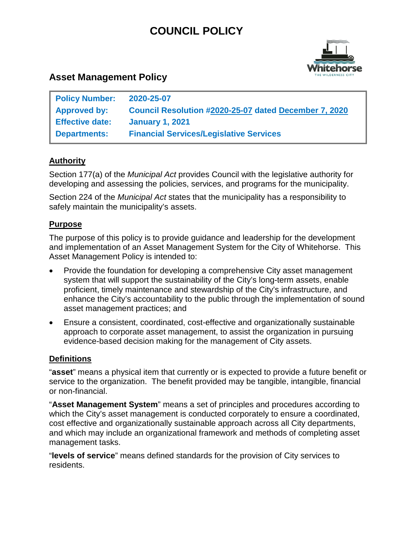# **COUNCIL POLICY**



## **Asset Management Policy**

| <b>Policy Number:</b>  | 2020-25-07                                            |
|------------------------|-------------------------------------------------------|
| <b>Approved by:</b>    | Council Resolution #2020-25-07 dated December 7, 2020 |
| <b>Effective date:</b> | <b>January 1, 2021</b>                                |
| <b>Departments:</b>    | <b>Financial Services/Legislative Services</b>        |

## **Authority**

Section 177(a) of the *Municipal Act* provides Council with the legislative authority for developing and assessing the policies, services, and programs for the municipality.

Section 224 of the *Municipal Act* states that the municipality has a responsibility to safely maintain the municipality's assets.

#### **Purpose**

The purpose of this policy is to provide guidance and leadership for the development and implementation of an Asset Management System for the City of Whitehorse. This Asset Management Policy is intended to:

- Provide the foundation for developing a comprehensive City asset management system that will support the sustainability of the City's long-term assets, enable proficient, timely maintenance and stewardship of the City's infrastructure, and enhance the City's accountability to the public through the implementation of sound asset management practices; and
- Ensure a consistent, coordinated, cost-effective and organizationally sustainable approach to corporate asset management, to assist the organization in pursuing evidence-based decision making for the management of City assets.

#### **Definitions**

"**asset**" means a physical item that currently or is expected to provide a future benefit or service to the organization. The benefit provided may be tangible, intangible, financial or non-financial.

"**Asset Management System**" means a set of principles and procedures according to which the City's asset management is conducted corporately to ensure a coordinated, cost effective and organizationally sustainable approach across all City departments, and which may include an organizational framework and methods of completing asset management tasks.

"**levels of service**" means defined standards for the provision of City services to residents.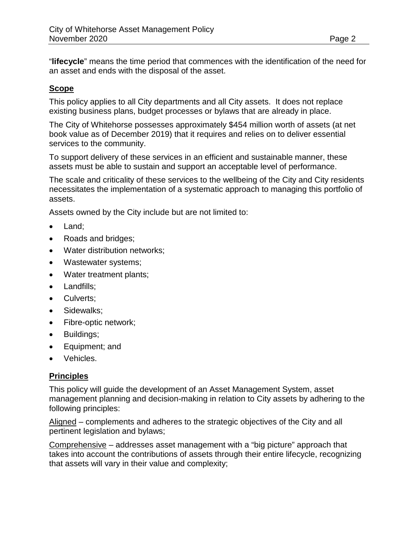"**lifecycle**" means the time period that commences with the identification of the need for an asset and ends with the disposal of the asset.

#### **Scope**

This policy applies to all City departments and all City assets. It does not replace existing business plans, budget processes or bylaws that are already in place.

The City of Whitehorse possesses approximately \$454 million worth of assets (at net book value as of December 2019) that it requires and relies on to deliver essential services to the community.

To support delivery of these services in an efficient and sustainable manner, these assets must be able to sustain and support an acceptable level of performance.

The scale and criticality of these services to the wellbeing of the City and City residents necessitates the implementation of a systematic approach to managing this portfolio of assets.

Assets owned by the City include but are not limited to:

- Land:
- Roads and bridges;
- Water distribution networks;
- Wastewater systems;
- Water treatment plants;
- Landfills;
- Culverts:
- Sidewalks;
- Fibre-optic network;
- Buildings;
- Equipment; and
- Vehicles.

#### **Principles**

This policy will guide the development of an Asset Management System, asset management planning and decision-making in relation to City assets by adhering to the following principles:

Aligned – complements and adheres to the strategic objectives of the City and all pertinent legislation and bylaws;

Comprehensive – addresses asset management with a "big picture" approach that takes into account the contributions of assets through their entire lifecycle, recognizing that assets will vary in their value and complexity;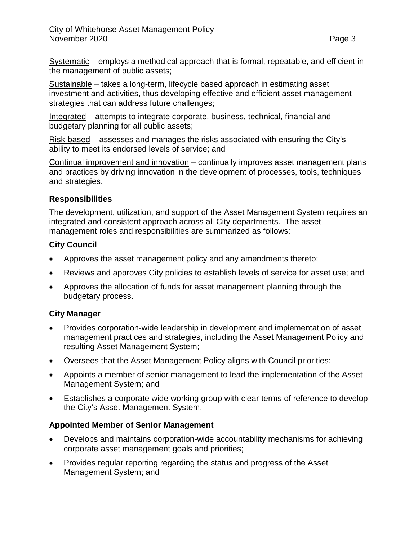Systematic – employs a methodical approach that is formal, repeatable, and efficient in the management of public assets;

Sustainable – takes a long-term, lifecycle based approach in estimating asset investment and activities, thus developing effective and efficient asset management strategies that can address future challenges;

Integrated – attempts to integrate corporate, business, technical, financial and budgetary planning for all public assets;

Risk-based – assesses and manages the risks associated with ensuring the City's ability to meet its endorsed levels of service; and

Continual improvement and innovation – continually improves asset management plans and practices by driving innovation in the development of processes, tools, techniques and strategies.

#### **Responsibilities**

The development, utilization, and support of the Asset Management System requires an integrated and consistent approach across all City departments. The asset management roles and responsibilities are summarized as follows:

## **City Council**

- Approves the asset management policy and any amendments thereto;
- Reviews and approves City policies to establish levels of service for asset use; and
- Approves the allocation of funds for asset management planning through the budgetary process.

## **City Manager**

- Provides corporation-wide leadership in development and implementation of asset management practices and strategies, including the Asset Management Policy and resulting Asset Management System;
- Oversees that the Asset Management Policy aligns with Council priorities;
- Appoints a member of senior management to lead the implementation of the Asset Management System; and
- Establishes a corporate wide working group with clear terms of reference to develop the City's Asset Management System.

## **Appointed Member of Senior Management**

- Develops and maintains corporation-wide accountability mechanisms for achieving corporate asset management goals and priorities;
- Provides regular reporting regarding the status and progress of the Asset Management System; and